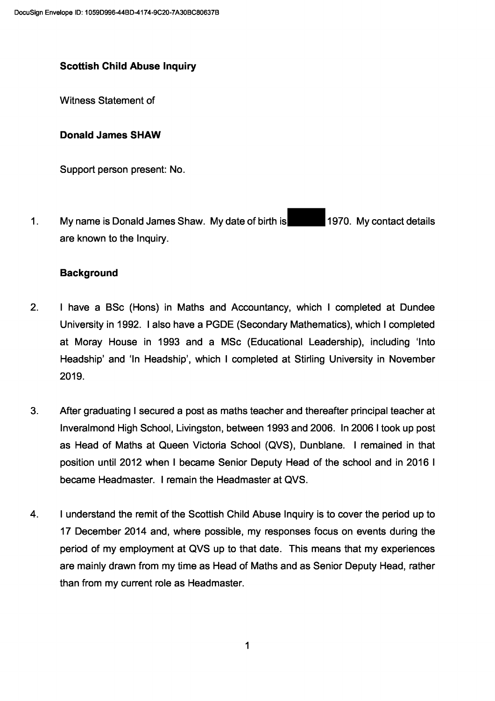# **Scottish Child Abuse Inquiry**

Witness Statement of

## **Donald James SHAW**

Support person present: No.

1970. My contact details My name is Donald James Shaw. My date of birth is  $1.$ are known to the Inquiry.

## **Background**

- $2<sub>1</sub>$ I have a BSc (Hons) in Maths and Accountancy, which I completed at Dundee University in 1992. I also have a PGDE (Secondary Mathematics), which I completed at Moray House in 1993 and a MSc (Educational Leadership), including 'Into Headship' and 'In Headship', which I completed at Stirling University in November 2019.
- $3.$ After graduating I secured a post as maths teacher and thereafter principal teacher at Inveralmond High School, Livingston, between 1993 and 2006. In 2006 I took up post as Head of Maths at Queen Victoria School (QVS), Dunblane. I remained in that position until 2012 when I became Senior Deputy Head of the school and in 2016 I became Headmaster. I remain the Headmaster at QVS.
- $\overline{4}$ . I understand the remit of the Scottish Child Abuse Inquiry is to cover the period up to 17 December 2014 and, where possible, my responses focus on events during the period of my employment at QVS up to that date. This means that my experiences are mainly drawn from my time as Head of Maths and as Senior Deputy Head, rather than from my current role as Headmaster.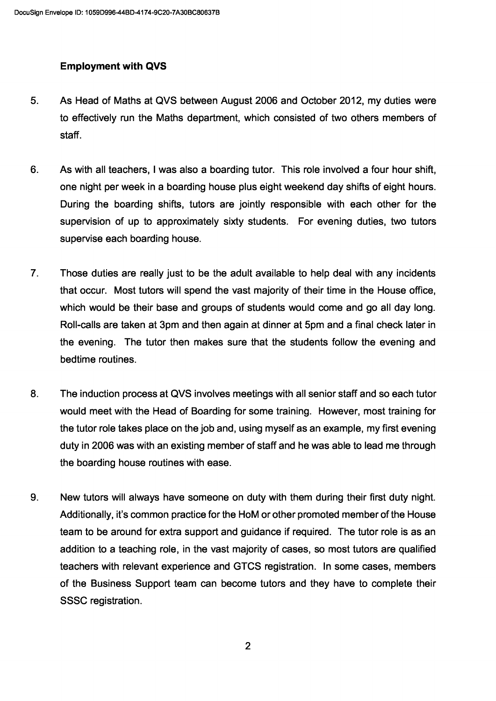## Employment with QVS

- 5. As Head of Maths at QVS between August 2006 and October 2012, my duties were to effectively run the Maths department, which consisted of two others members of staff.
- 6. As with all teachers, I was also a boarding tutor. This role involved a four hour shift, one night per week in a boarding house plus eight weekend day shifts of eight hours. During the boarding shifts, tutors are jointly responsible with each other for the supervision of up to approximately sixty students. For evening duties, two tutors supervise each boarding house.
- 7. Those duties are really just to be the adult available to help deal with any incidents that occur. Most tutors will spend the vast majority of their time in the House office, which would be their base and groups of students would come and go all day long. Roll-calls are taken at 3pm and then again at dinner at 5pm and a final check later in the evening. The tutor then makes sure that the students follow the evening and bedtime routines.
- 8. The induction process at QVS involves meetings with all senior staff and so each tutor would meet with the Head of Boarding for some training. However, most training for the tutor role takes place on the job and, using myself as an example, my first evening duty in 2006 was with an existing member of staff and he was able to lead me through the boarding house routines with ease.
- 9. New tutors will always have someone on duty with them during their first duty night. Additionally, it's common practice for the HoM or other promoted member of the House team to be around for extra support and guidance if required. The tutor role is as an addition to a teaching role, in the vast majority of cases, so most tutors are qualified teachers with relevant experience and GTCS registration. In some cases, members of the Business Support team can become tutors and they have to complete their SSSC registration.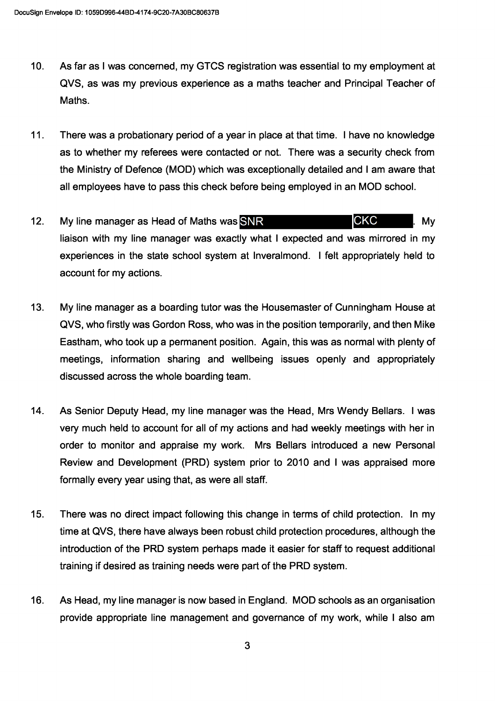- $10<sub>1</sub>$ As far as I was concerned, my GTCS registration was essential to my employment at QVS, as was my previous experience as a maths teacher and Principal Teacher of Maths.
- $11.$ There was a probationary period of a year in place at that time. I have no knowledge as to whether my referees were contacted or not. There was a security check from the Ministry of Defence (MOD) which was exceptionally detailed and I am aware that all employees have to pass this check before being employed in an MOD school.
- **CKC**  $12.$ My line manager as Head of Maths was SNR Mv liaison with my line manager was exactly what I expected and was mirrored in my experiences in the state school system at Inveralmond. I felt appropriately held to account for my actions.
- $13.$ My line manager as a boarding tutor was the Housemaster of Cunningham House at QVS, who firstly was Gordon Ross, who was in the position temporarily, and then Mike Eastham, who took up a permanent position. Again, this was as normal with plenty of meetings, information sharing and wellbeing issues openly and appropriately discussed across the whole boarding team.
- 14. As Senior Deputy Head, my line manager was the Head, Mrs Wendy Bellars. I was very much held to account for all of my actions and had weekly meetings with her in order to monitor and appraise my work. Mrs Bellars introduced a new Personal Review and Development (PRD) system prior to 2010 and I was appraised more formally every year using that, as were all staff.
- $15.$ There was no direct impact following this change in terms of child protection. In my time at QVS, there have always been robust child protection procedures, although the introduction of the PRD system perhaps made it easier for staff to request additional training if desired as training needs were part of the PRD system.
- 16. As Head, my line manager is now based in England. MOD schools as an organisation provide appropriate line management and governance of my work, while I also am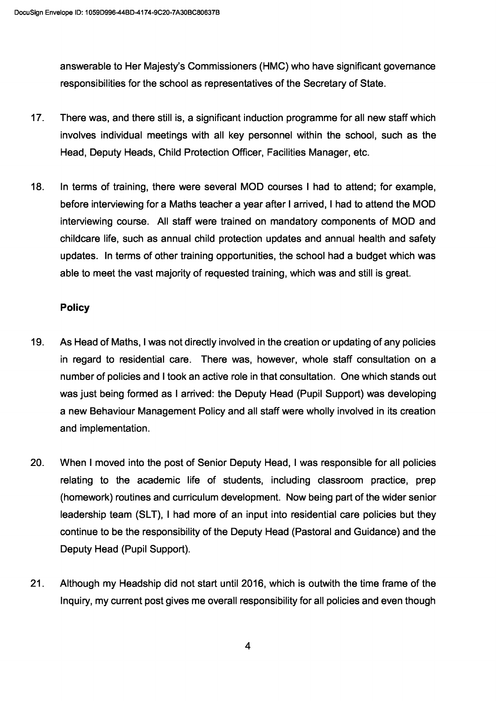answerable to Her Majesty's Commissioners (HMC) who have significant governance responsibilities for the school as representatives of the Secretary of State.

- 17. There was, and there still is, a significant induction programme for all new staff which involves individual meetings with all key personnel within the school, such as the Head, Deputy Heads, Child Protection Officer, Facilities Manager, etc.
- 18. In terms of training, there were several MOD courses I had to attend; for example, before interviewing for a Maths teacher a year after I arrived, I had to attend the MOD interviewing course. All staff were trained on mandatory components of MOD and childcare life, such as annual child protection updates and annual health and safety updates. In terms of other training opportunities, the school had a budget which was able to meet the vast majority of requested training, which was and still is great.

### **Policy**

- 19. As Head of Maths, I was not directly involved in the creation or updating of any policies in regard to residential care. There was, however, whole staff consultation on a number of policies and I took an active role in that consultation. One which stands out was just being formed as I arrived: the Deputy Head (Pupil Support) was developing a new Behaviour Management Policy and all staff were wholly involved in its creation and implementation.
- 20. When I moved into the post of Senior Deputy Head, I was responsible for all policies relating to the academic life of students, including classroom practice, prep (homework) routines and curriculum development. Now being part of the wider senior leadership team (SLT), I had more of an input into residential care policies but they continue to be the responsibility of the Deputy Head (Pastoral and Guidance) and the Deputy Head (Pupil Support).
- 21. Although my Headship did not start until 2016, which is outwith the time frame of the Inquiry, my current post gives me overall responsibility for all policies and even though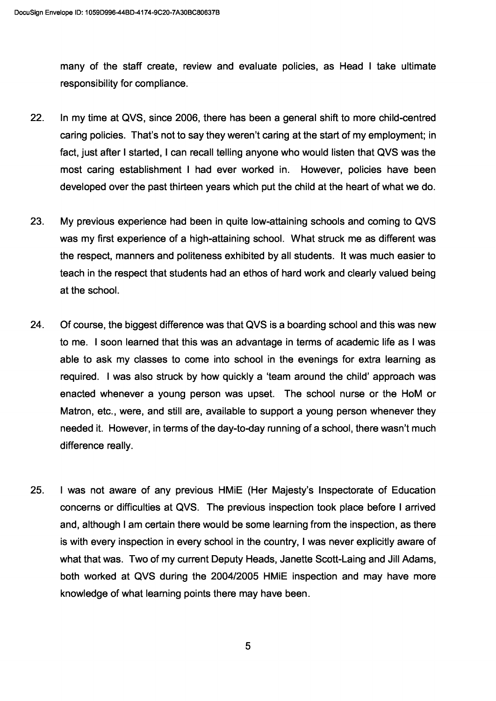many of the staff create, review and evaluate policies, as Head I take ultimate responsibility for compliance.

- 22. In my time at QVS, since 2006, there has been a general shift to more child-centred caring policies. That's not to say they weren't caring at the start of my employment; in fact, just after I started, I can recall telling anyone who would listen that QVS was the most caring establishment I had ever worked in. However, policies have been developed over the past thirteen years which put the child at the heart of what we do.
- 23. My previous experience had been in quite low-attaining schools and coming to QVS was my first experience of a high-attaining school. What struck me as different was the respect, manners and politeness exhibited by all students. It was much easier to teach in the respect that students had an ethos of hard work and clearly valued being at the school.
- 24. Of course, the biggest difference was that QVS is a boarding school and this was new to me. I soon learned that this was an advantage in terms of academic life as I was able to ask my classes to come into school in the evenings for extra learning as required. I was also struck by how quickly a 'team around the child' approach was enacted whenever a young person was upset. The school nurse or the HoM or Matron, etc., were, and still are, available to support a young person whenever they needed it. However, in terms of the day-to-day running of a school, there wasn't much difference really.
- 25. I was not aware of any previous HMiE (Her Majesty's Inspectorate of Education concerns or difficulties at QVS. The previous inspection took place before I arrived and, although I am certain there would be some learning from the inspection, as there is with every inspection in every school in the country, I was never explicitly aware of what that was. Two of my current Deputy Heads, Janette Scott-Laing and Jill Adams, both worked at QVS during the 2004/2005 HMiE inspection and may have more knowledge of what learning points there may have been.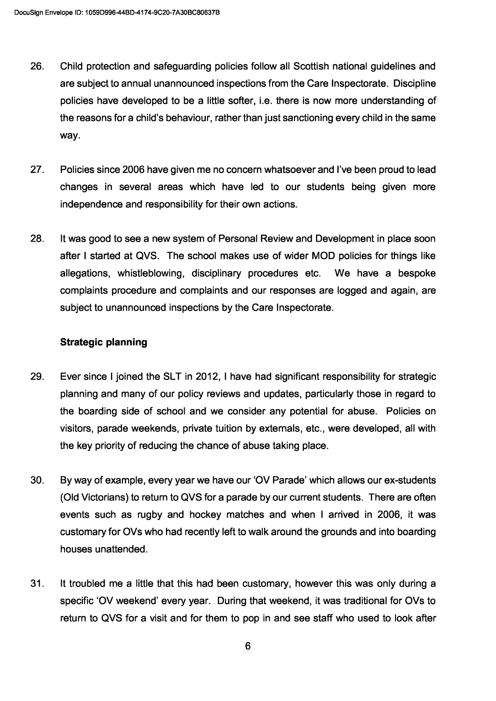- 26. Child protection and safeguarding policies follow all Scottish national guidelines and are subject to annual unannounced inspections from the Care Inspectorate. Discipline policies have developed to be a little softer, i.e. there is now more understanding of the reasons for a child's behaviour, rather than just sanctioning every child in the same way.
- 27. Policies since 2006 have given me no concern whatsoever and I've been proud to lead changes in several areas which have led to our students being given more independence and responsibility for their own actions.
- 28. It was good to see a new system of Personal Review and Development in place soon after I started at QVS. The school makes use of wider MOD policies for things like allegations, whistleblowing, disciplinary procedures etc. We have a bespoke complaints procedure and complaints and our responses are logged and again, are subject to unannounced inspections by the Care Inspectorate.

### Strategic planning

- 29. Ever since I joined the SLT in 2012, I have had significant responsibility for strategic planning and many of our policy reviews and updates, particularly those in regard to the boarding side of school and we consider any potential for abuse. Policies on visitors, parade weekends, private tuition by externals, etc., were developed, all with the key priority of reducing the chance of abuse taking place.
- 30. By way of example, every year we have our '0V Parade' which allows our ex-students (Old Victorians) to return to QVS for a parade by our current students. There are often events such as rugby and hockey matches and when I arrived in 2006, it was customary for OVs who had recently left to walk around the grounds and into boarding houses unattended.
- 31. It troubled me a little that this had been customary, however this was only during a specific '0V weekend' every year. During that weekend, it was traditional for OVs to return to QVS for a visit and for them to pop in and see staff who used to look after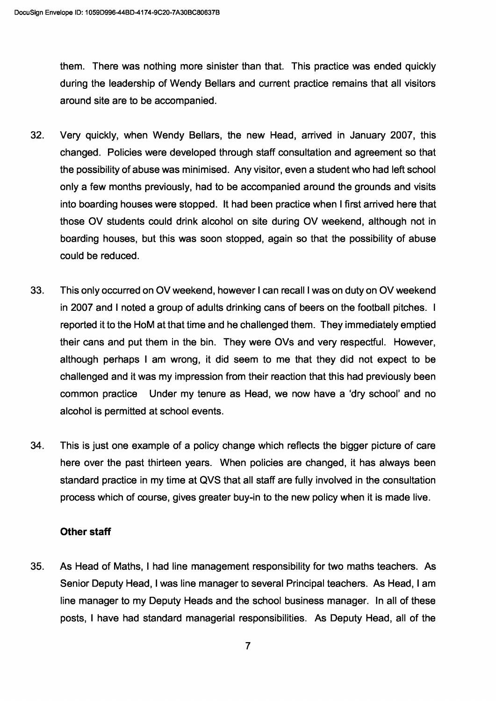them. There was nothing more sinister than that. This practice was ended quickly during the leadership of Wendy Beliars and current practice remains that all visitors around site are to be accompanied.

- 32. Very quickly, when Wendy Beliars, the new Head, arrived in January 2007, this changed. Policies were developed through staff consultation and agreement so that the possibility of abuse was minimised. Any visitor, even a student who had left school only a few months previously, had to be accompanied around the grounds and visits into boarding houses were stopped. It had been practice when I first arrived here that those OV students could drink alcohol on site during OV weekend, although not in boarding houses, but this was soon stopped, again so that the possibility of abuse could be reduced.
- 33. This only occurred on OV weekend, however I can recall I was on duty on OV weekend in 2007 and I noted a group of adults drinking cans of beers on the football pitches. I reported it to the HoM at that time and he challenged them. They immediately emptied their cans and put them in the bin. They were OVs and very respectful. However, although perhaps I am wrong, it did seem to me that they did not expect to be challenged and it was my impression from their reaction that this had previously been common practice Under my tenure as Head, we now have a 'dry school' and no alcohol is permitted at school events.
- 34. This is just one example of a policy change which reflects the bigger picture of care here over the past thirteen years. When policies are changed, it has always been standard practice in my time at QVS that all staff are fully involved in the consultation process which of course, gives greater buy-in to the new policy when it is made live.

## Other staff

35. As Head of Maths, I had line management responsibility for two maths teachers. As Senior Deputy Head, I was line manager to several Principal teachers. As Head, I am line manager to my Deputy Heads and the school business manager. In all of these posts, I have had standard managerial responsibilities. As Deputy Head, all of the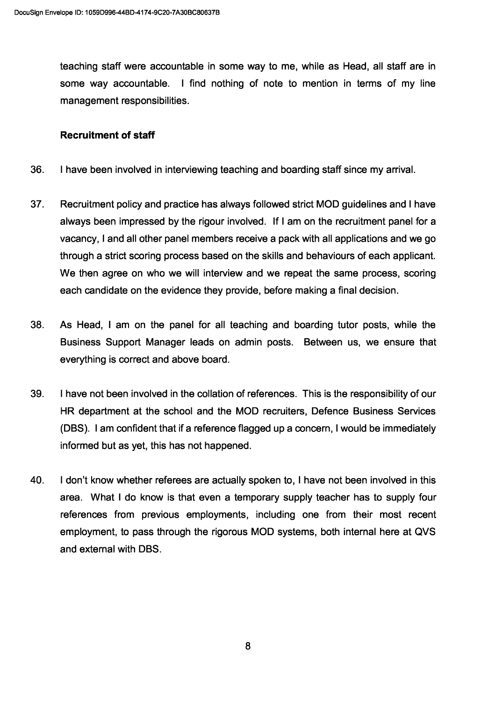teaching staff were accountable in some way to me, while as Head, all staff are in some way accountable. I find nothing of note to mention in terms of my line management responsibilities.

### Recruitment of staff

- 36. I have been involved in interviewing teaching and boarding staff since my arrival.
- 37. Recruitment policy and practice has always followed strict MOD guidelines and I have always been impressed by the rigour involved. If I am on the recruitment panel for a vacancy, I and all other panel members receive a pack with all applications and we go through a strict scoring process based on the skills and behaviours of each applicant. We then agree on who we will interview and we repeat the same process, scoring each candidate on the evidence they provide, before making a final decision.
- 38. As Head, I am on the panel for all teaching and boarding tutor posts, while the Business Support Manager leads on admin posts. Between us, we ensure that everything is correct and above board.
- 39. I have not been involved in the collation of references. This is the responsibility of our HR department at the school and the MOD recruiters, Defence Business Services (DBS). I am confident that if a reference flagged up a concern, I would be immediately informed but as yet, this has not happened.
- 40. I don't know whether referees are actually spoken to, I have not been involved in this area. What I do know is that even a temporary supply teacher has to supply four references from previous employments, including one from their most recent employment, to pass through the rigorous MOD systems, both internal here at QVS and external with DBS.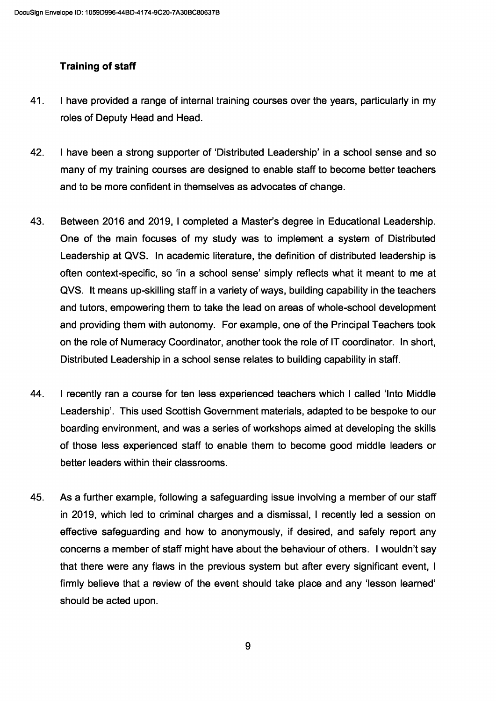# Training of staff

- 41. I have provided a range of internal training courses over the years, particularly in my roles of Deputy Head and Head.
- 42. I have been a strong supporter of 'Distributed Leadership' in a school sense and so many of my training courses are designed to enable staff to become better teachers and to be more confident in themselves as advocates of change.
- 43. Between 2016 and 2019, I completed a Master's degree in Educational Leadership. One of the main focuses of my study was to implement a system of Distributed Leadership at QVS. In academic literature, the definition of distributed leadership is often context-specific, so 'in a school sense' simply reflects what it meant to me at QVS. It means up-skilling staff in a variety of ways, building capability in the teachers and tutors, empowering them to take the lead on areas of whole-school development and providing them with autonomy. For example, one of the Principal Teachers took on the role of Numeracy Coordinator, another took the role of IT coordinator. In short, Distributed Leadership in a school sense relates to building capability in staff.
- 44. I recently ran a course for ten less experienced teachers which I called 'Into Middle Leadership'. This used Scottish Government materials, adapted to be bespoke to our boarding environment, and was a series of workshops aimed at developing the skills of those less experienced staff to enable them to become good middle leaders or better leaders within their classrooms.
- 45. As a further example, following a safeguarding issue involving a member of our staff in 2019, which led to criminal charges and a dismissal, I recently led a session on effective safeguarding and how to anonymously, if desired, and safely report any concerns a member of staff might have about the behaviour of others. I wouldn't say that there were any flaws in the previous system but after every significant event, I firmly believe that a review of the event should take place and any 'lesson learned' should be acted upon.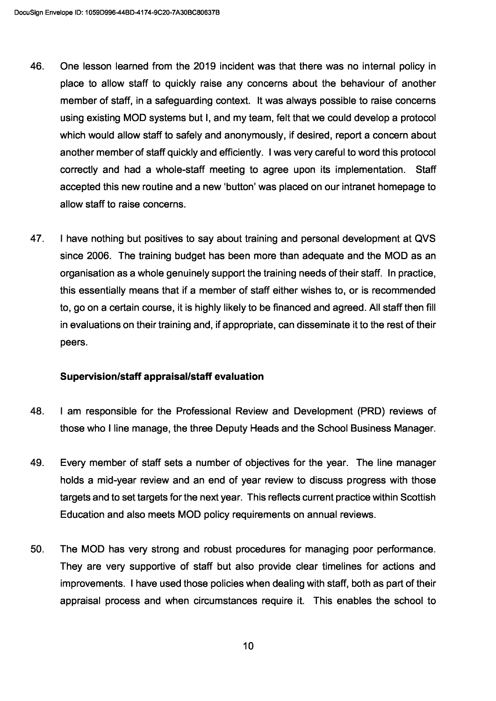- 46. One lesson learned from the 2019 incident was that there was no internal policy in place to allow staff to quickly raise any concerns about the behaviour of another member of staff, in a safeguarding context. It was always possible to raise concerns using existing MOD systems but I, and my team, felt that we could develop a protocol which would allow staff to safely and anonymously, if desired, report a concern about another member of staff quickly and efficiently. I was very careful to word this protocol correctly and had a whole-staff meeting to agree upon its implementation. Staff accepted this new routine and a new 'button' was placed on our intranet homepage to allow staff to raise concerns.
- 47. I have nothing but positives to say about training and personal development at QVS since 2006. The training budget has been more than adequate and the MOD as an organisation as a whole genuinely support the training needs of their staff. In practice, this essentially means that if a member of staff either wishes to, or is recommended to, go on a certain course, it is highly likely to be financed and agreed. All staff then fill in evaluations on their training and, if appropriate, can disseminate it to the rest of their peers.

## Supervision/staff appraisal/staff evaluation

- 48. I am responsible for the Professional Review and Development (PRD) reviews of those who I line manage, the three Deputy Heads and the School Business Manager.
- 49. Every member of staff sets a number of objectives for the year. The line manager holds a mid-year review and an end of year review to discuss progress with those targets and to set targets for the next year. This reflects current practice within Scottish Education and also meets MOD policy requirements on annual reviews.
- 50. The MOD has very strong and robust procedures for managing poor performance. They are very supportive of staff but also provide clear timelines for actions and improvements. I have used those policies when dealing with staff, both as part of their appraisal process and when circumstances require it. This enables the school to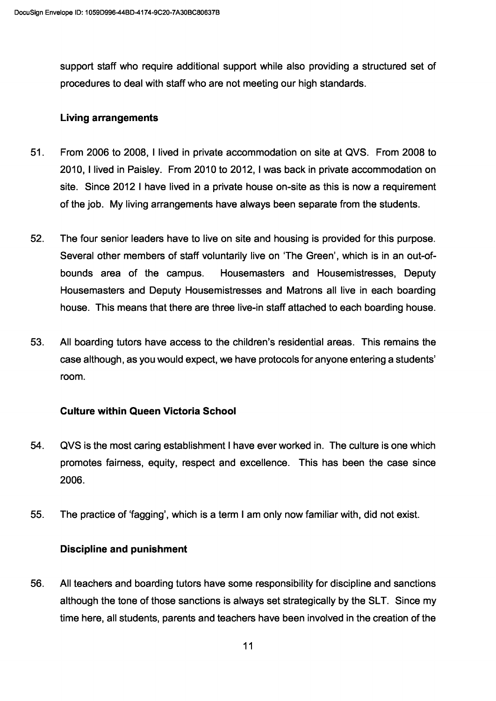support staff who require additional support while also providing a structured set of procedures to deal with staff who are not meeting our high standards.

### Living arrangements

- 51. From 2006 to 2008, I lived in private accommodation on site at QVS. From 2008 to 2010, I lived in Paisley. From 2010 to 2012, I was back in private accommodation on site. Since 2012 I have lived in a private house on-site as this is now a requirement of the job. My living arrangements have always been separate from the students.
- 52. The four senior leaders have to live on site and housing is provided for this purpose. Several other members of staff voluntarily live on 'The Green', which is in an out-ofbounds area of the campus. Housemasters and Housemistresses, Deputy Housemasters and Deputy Housemistresses and Matrons all live in each boarding house. This means that there are three live-in staff attached to each boarding house.
- 53. All boarding tutors have access to the children's residential areas. This remains the case although, as you would expect, we have protocols for anyone entering a students' room.

## Culture within Queen Victoria School

- 54. QVS is the most caring establishment I have ever worked in. The culture is one which promotes fairness, equity, respect and excellence. This has been the case since 2006.
- 55. The practice of 'fagging', which is a term I am only now familiar with, did not exist.

## Discipline and punishment

56. All teachers and boarding tutors have some responsibility for discipline and sanctions although the tone of those sanctions is always set strategically by the SLT. Since my time here, all students, parents and teachers have been involved in the creation of the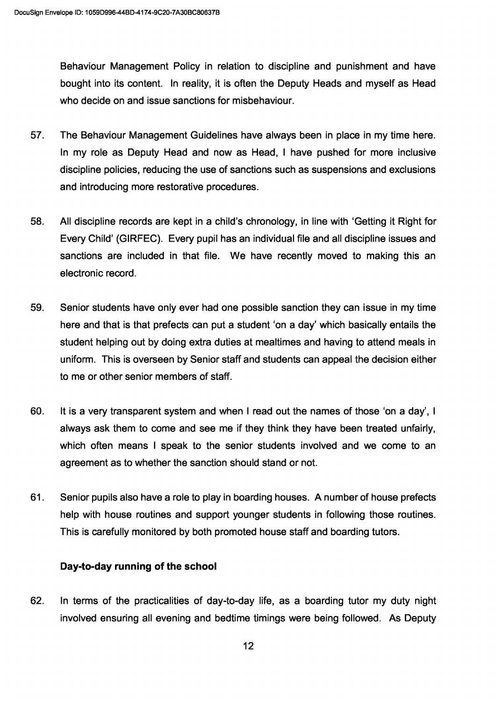Behaviour Management Policy in relation to discipline and punishment and have bought into its content. In reality, it is often the Deputy Heads and myself as Head who decide on and issue sanctions for misbehaviour.

- 57. The Behaviour Management Guidelines have always been in place in my time here. In my role as Deputy Head and now as Head, I have pushed for more inclusive discipline policies, reducing the use of sanctions such as suspensions and exclusions and introducing more restorative procedures.
- 58. All discipline records are kept in a child's chronology, in line with 'Getting it Right for Every Child' (GIRFEC). Every pupil has an individual file and all discipline issues and sanctions are included in that file. We have recently moved to making this an electronic record.
- 59. Senior students have only ever had one possible sanction they can issue in my time here and that is that prefects can put a student 'on a day' which basically entails the student helping out by doing extra duties at mealtimes and having to attend meals in uniform. This is overseen by Senior staff and students can appeal the decision either to me or other senior members of staff.
- 60. It is a very transparent system and when I read out the names of those 'on a day', I always ask them to come and see me if they think they have been treated unfairly, which often means I speak to the senior students involved and we come to an agreement as to whether the sanction should stand or not.
- 61. Senior pupils also have a role to play in boarding houses. A number of house prefects help with house routines and support younger students in following those routines. This is carefully monitored by both promoted house staff and boarding tutors.

## Day-to-day running of the school

62. In terms of the practicalities of day-to-day life, as a boarding tutor my duty night involved ensuring all evening and bedtime timings were being followed. As Deputy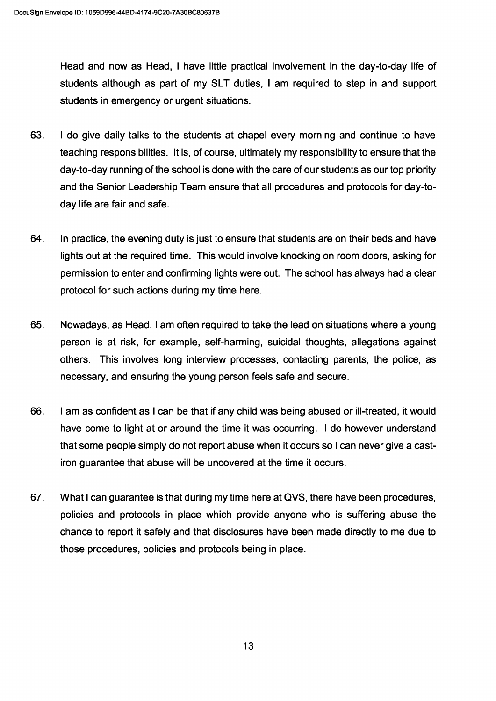Head and now as Head, I have little practical involvement in the day-to-day life of students although as part of my SLT duties, I am required to step in and support students in emergency or urgent situations.

- 63. I do give daily talks to the students at chapel every morning and continue to have teaching responsibilities. It is, of course, ultimately my responsibility to ensure that the day-to-day running of the school is done with the care of our students as our top priority and the Senior Leadership Team ensure that all procedures and protocols for day-today life are fair and safe.
- 64. In practice, the evening duty is just to ensure that students are on their beds and have lights out at the required time. This would involve knocking on room doors, asking for permission to enter and confirming lights were out. The school has always had a clear protocol for such actions during my time here.
- 65. Nowadays, as Head, I am often required to take the lead on situations where a young person is at risk, for example, self-harming, suicidal thoughts, allegations against others. This involves long interview processes, contacting parents, the police, as necessary, and ensuring the young person feels safe and secure.
- 66. I am as confident as I can be that if any child was being abused or ill-treated, it would have come to light at or around the time it was occurring. I do however understand that some people simply do not report abuse when it occurs so I can never give a castiron guarantee that abuse will be uncovered at the time it occurs.
- 67. What I can guarantee is that during my time here at QVS, there have been procedures, policies and protocols in place which provide anyone who is suffering abuse the chance to report it safely and that disclosures have been made directly to me due to those procedures, policies and protocols being in place.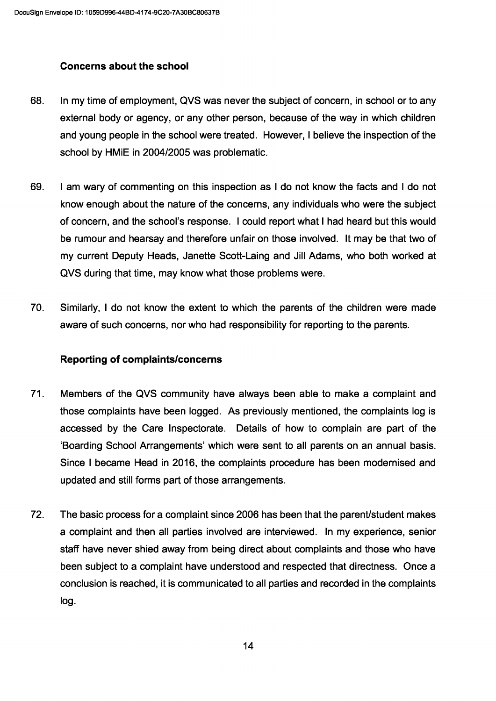## Concerns about the school

- 68. In my time of employment, QVS was never the subject of concern, in school or to any external body or agency, or any other person, because of the way in which children and young people in the school were treated. However, I believe the inspection of the school by HMiE in 2004/2005 was problematic.
- 69. I am wary of commenting on this inspection as I do not know the facts and I do not know enough about the nature of the concerns, any individuals who were the subject of concern, and the school's response. I could report what I had heard but this would be rumour and hearsay and therefore unfair on those involved. It may be that two of my current Deputy Heads, Janette Scott-Laing and Jill Adams, who both worked at QVS during that time, may know what those problems were.
- 70. Similarly, I do not know the extent to which the parents of the children were made aware of such concerns, nor who had responsibility for reporting to the parents.

## Reporting of complaints/concerns

- 71. Members of the QVS community have always been able to make a complaint and those complaints have been logged. As previously mentioned, the complaints log is accessed by the Care Inspectorate. Details of how to complain are part of the 'Boarding School Arrangements' which were sent to all parents on an annual basis. Since I became Head in 2016, the complaints procedure has been modernised and updated and still forms part of those arrangements.
- 72. The basic process for a complaint since 2006 has been that the parent/student makes a complaint and then all parties involved are interviewed. In my experience, senior staff have never shied away from being direct about complaints and those who have been subject to a complaint have understood and respected that directness. Once a conclusion is reached, it is communicated to all parties and recorded in the complaints log.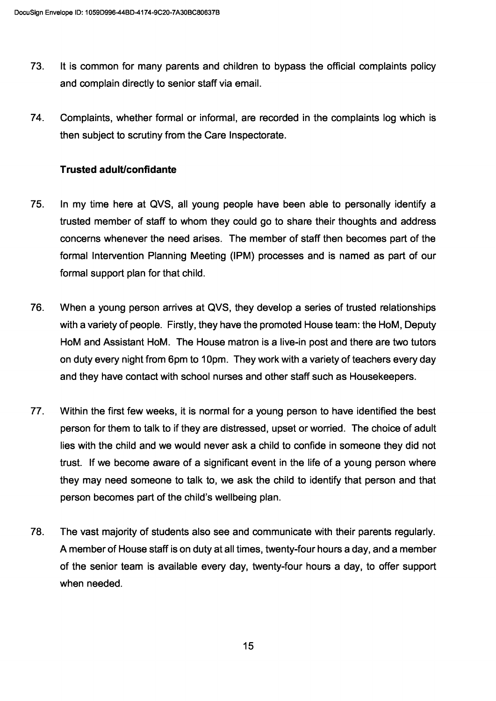- 73. It is common for many parents and children to bypass the official complaints policy and complain directly to senior staff via email.
- 74. Complaints, whether formal or informal, are recorded in the complaints log which is then subject to scrutiny from the Care Inspectorate.

## Trusted adult/confidante

- 75. In my time here at QVS, all young people have been able to personally identify a trusted member of staff to whom they could go to share their thoughts and address concerns whenever the need arises. The member of staff then becomes part of the formal Intervention Planning Meeting (IPM) processes and is named as part of our formal support plan for that child.
- 76. When a young person arrives at QVS, they develop a series of trusted relationships with a variety of people. Firstly, they have the promoted House team: the HoM, Deputy HoM and Assistant HoM. The House matron is a live-in post and there are two tutors on duty every night from 6pm to 10pm. They work with a variety of teachers every day and they have contact with school nurses and other staff such as Housekeepers.
- 77. Within the first few weeks, it is normal for a young person to have identified the best person for them to talk to if they are distressed, upset or worried. The choice of adult lies with the child and we would never ask a child to confide in someone they did not trust. If we become aware of a significant event in the life of a young person where they may need someone to talk to, we ask the child to identify that person and that person becomes part of the child's wellbeing plan.
- 78. The vast majority of students also see and communicate with their parents regularly. A member of House staff is on duty at all times, twenty-four hours a day, and a member of the senior team is available every day, twenty-four hours a day, to offer support when needed.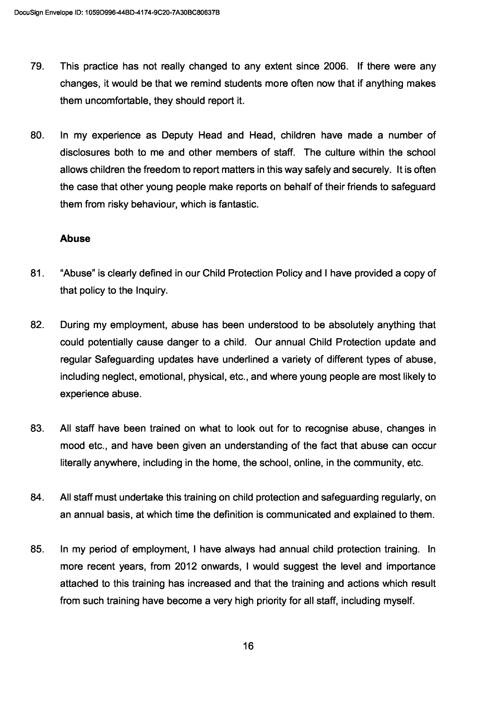- 79. This practice has not really changed to any extent since 2006. If there were any changes, it would be that we remind students more often now that if anything makes them uncomfortable, they should report it.
- 80. In my experience as Deputy Head and Head, children have made a number of disclosures both to me and other members of staff. The culture within the school allows children the freedom to report matters in this way safely and securely. It is often the case that other young people make reports on behalf of their friends to safeguard them from risky behaviour, which is fantastic.

#### Abuse

- 81. "Abuse" is clearly defined in our Child Protection Policy and I have provided a copy of that policy to the Inquiry.
- 82. During my employment, abuse has been understood to be absolutely anything that could potentially cause danger to a child. Our annual Child Protection update and regular Safeguarding updates have underlined a variety of different types of abuse, including neglect, emotional, physical, etc., and where young people are most likely to experience abuse.
- 83. All staff have been trained on what to look out for to recognise abuse, changes in mood etc., and have been given an understanding of the fact that abuse can occur literally anywhere, including in the home, the school, online, in the community, etc.
- 84. All staff must undertake this training on child protection and safeguarding regularly, on an annual basis, at which time the definition is communicated and explained to them.
- 85. In my period of employment, I have always had annual child protection training. In more recent years, from 2012 onwards, I would suggest the level and importance attached to this training has increased and that the training and actions which result from such training have become a very high priority for all staff, including myself.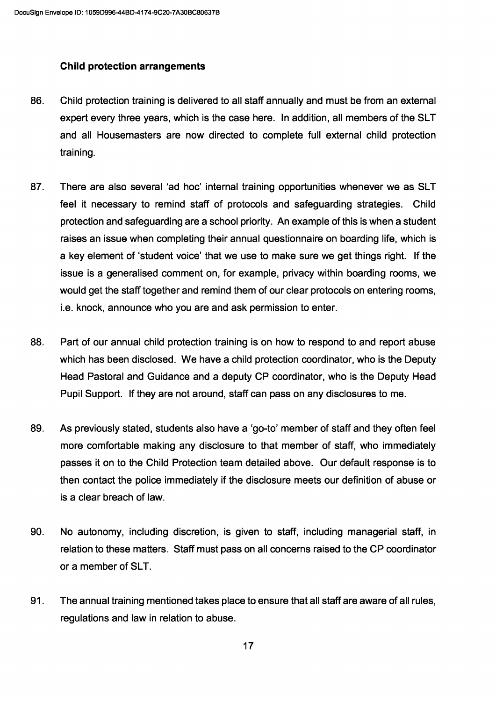## Child protection arrangements

- 86. Child protection training is delivered to all staff annually and must be from an external expert every three years, which is the case here. In addition, all members of the SLT and all Housemasters are now directed to complete full external child protection training.
- 87. There are also several 'ad hoc' internal training opportunities whenever we as SLT feel it necessary to remind staff of protocols and safeguarding strategies. Child protection and safeguarding are a school priority. An example of this is when a student raises an issue when completing their annual questionnaire on boarding life, which is a key element of 'student voice' that we use to make sure we get things right. If the issue is a generalised comment on, for example, privacy within boarding rooms, we would get the staff together and remind them of our clear protocols on entering rooms, i.e. knock, announce who you are and ask permission to enter.
- 88. Part of our annual child protection training is on how to respond to and report abuse which has been disclosed. We have a child protection coordinator, who is the Deputy Head Pastoral and Guidance and a deputy CP coordinator, who is the Deputy Head Pupil Support. If they are not around, staff can pass on any disclosures to me.
- 89. As previously stated, students also have a 'go-to' member of staff and they often feel more comfortable making any disclosure to that member of staff, who immediately passes it on to the Child Protection team detailed above. Our default response is to then contact the police immediately if the disclosure meets our definition of abuse or is a clear breach of law.
- 90. No autonomy, including discretion, is given to staff, including managerial staff, in relation to these matters. Staff must pass on all concerns raised to the CP coordinator or a member of SLT.
- 91. The annual training mentioned takes place to ensure that all staff are aware of all rules, regulations and law in relation to abuse.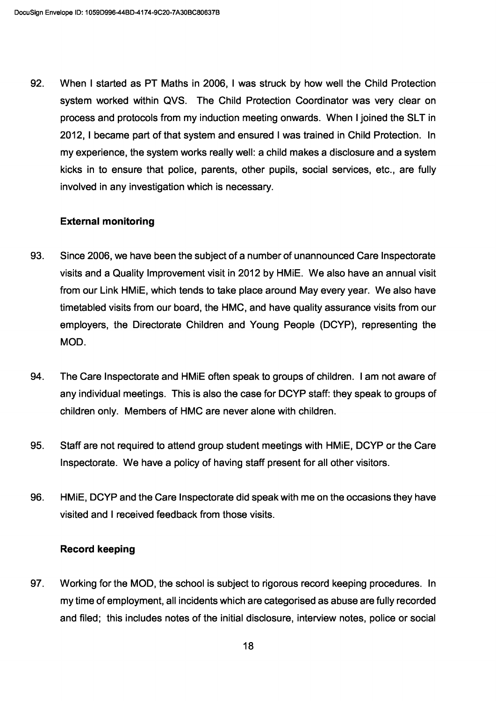92. When I started as PT Maths in 2006, I was struck by how well the Child Protection system worked within QVS. The Child Protection Coordinator was very clear on process and protocols from my induction meeting onwards. When I joined the SLT in 2012, I became part of that system and ensured I was trained in Child Protection. In my experience, the system works really well: a child makes a disclosure and a system kicks in to ensure that police, parents, other pupils, social services, etc., are fully involved in any investigation which is necessary.

### External monitoring

- 93. Since 2006, we have been the subject of a number of unannounced Care Inspectorate visits and a Quality Improvement visit in 2012 by HMiE. We also have an annual visit from our Link HMiE, which tends to take place around May every year. We also have timetabled visits from our board, the HMC, and have quality assurance visits from our employers, the Directorate Children and Young People (DCYP), representing the MOD.
- 94. The Care Inspectorate and HMiE often speak to groups of children. I am not aware of any individual meetings. This is also the case for DCYP staff: they speak to groups of children only. Members of HMC are never alone with children.
- 95. Staff are not required to attend group student meetings with HMiE, DCYP or the Care Inspectorate. We have a policy of having staff present for all other visitors.
- 96. HMiE, DCYP and the Care Inspectorate did speak with me on the occasions they have visited and I received feedback from those visits.

#### Record keeping

97. Working for the MOD, the school is subject to rigorous record keeping procedures. In my time of employment, all incidents which are categorised as abuse are fully recorded and filed; this includes notes of the initial disclosure, interview notes, police or social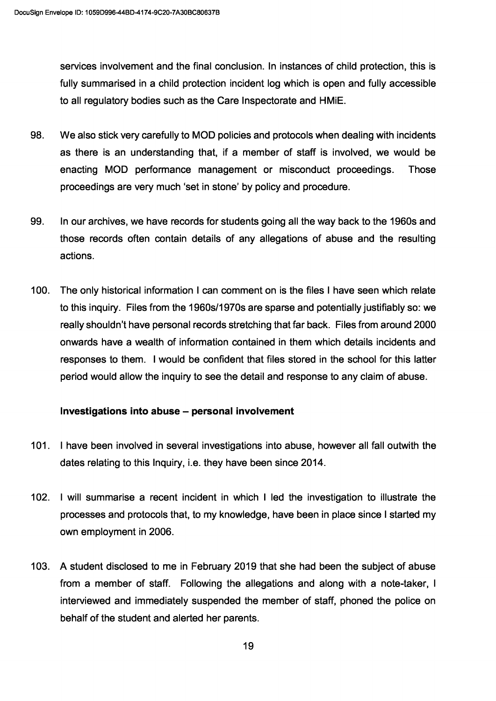services involvement and the final conclusion. In instances of child protection, this is fully summarised in a child protection incident log which is open and fully accessible to all regulatory bodies such as the Care Inspectorate and HMiE.

- 98. We also stick very carefully to MOD policies and protocols when dealing with incidents as there is an understanding that, if a member of staff is involved, we would be enacting MOD performance management or misconduct proceedings. Those proceedings are very much 'set in stone' by policy and procedure.
- 99. In our archives, we have records for students going all the way back to the 1960s and those records often contain details of any allegations of abuse and the resulting actions.
- 100. The only historical information I can comment on is the files I have seen which relate to this inquiry. Files from the 1960s/1970s are sparse and potentially justifiably so: we really shouldn't have personal records stretching that far back. Files from around 2000 onwards have a wealth of information contained in them which details incidents and responses to them. I would be confident that files stored in the school for this latter period would allow the inquiry to see the detail and response to any claim of abuse.

## Investigations into abuse — personal involvement

- 101. I have been involved in several investigations into abuse, however all fall outwith the dates relating to this Inquiry, i.e. they have been since 2014.
- 102. I will summarise a recent incident in which I led the investigation to illustrate the processes and protocols that, to my knowledge, have been in place since I started my own employment in 2006.
- 103. A student disclosed to me in February 2019 that she had been the subject of abuse from a member of staff. Following the allegations and along with a note-taker, I interviewed and immediately suspended the member of staff, phoned the police on behalf of the student and alerted her parents.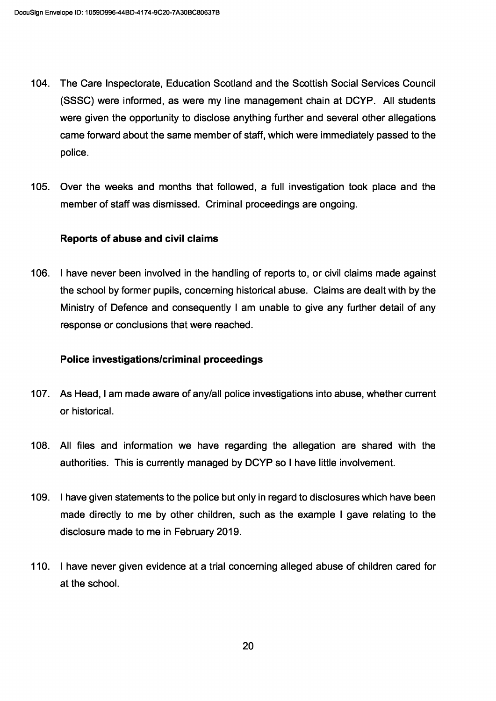- 104. The Care Inspectorate, Education Scotland and the Scottish Social Services Council (SSSC) were informed, as were my line management chain at DCYP. All students were given the opportunity to disclose anything further and several other allegations came forward about the same member of staff, which were immediately passed to the police.
- 105. Over the weeks and months that followed, a full investigation took place and the member of staff was dismissed. Criminal proceedings are ongoing.

#### Reports of abuse and civil claims

106. I have never been involved in the handling of reports to, or civil claims made against the school by former pupils, concerning historical abuse. Claims are dealt with by the Ministry of Defence and consequently I am unable to give any further detail of any response or conclusions that were reached.

#### Police investigations/criminal proceedings

- 107. As Head, I am made aware of any/all police investigations into abuse, whether current or historical.
- 108. All files and information we have regarding the allegation are shared with the authorities. This is currently managed by DCYP so I have little involvement.
- 109. I have given statements to the police but only in regard to disclosures which have been made directly to me by other children, such as the example I gave relating to the disclosure made to me in February 2019.
- 110. I have never given evidence at a trial concerning alleged abuse of children cared for at the school.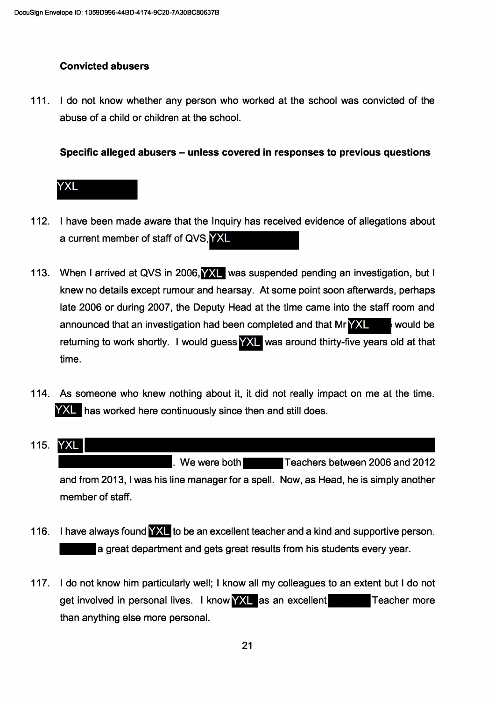# **Convicted abusers**

111. I do not know whether any person who worked at the school was convicted of the abuse of a child or children at the school.

Specific alleged abusers – unless covered in responses to previous questions



- 112. I have been made aware that the Inquiry has received evidence of allegations about a current member of staff of QVS, YXL
- 113. When I arrived at QVS in 2006, WIL was suspended pending an investigation, but I knew no details except rumour and hearsay. At some point soon afterwards, perhaps late 2006 or during 2007, the Deputy Head at the time came into the staff room and announced that an investigation had been completed and that Mr YXL would be returning to work shortly. I would guess **YXL** was around thirty-five years old at that time.
- 114. As someone who knew nothing about it, it did not really impact on me at the time. YXL has worked here continuously since then and still does.
- $115.$ **YXL** We were both Teachers between 2006 and 2012 and from 2013, I was his line manager for a spell. Now, as Head, he is simply another member of staff.
- 116. I have always found **YXL** to be an excellent teacher and a kind and supportive person. a great department and gets great results from his students every year.
- 117. I do not know him particularly well; I know all my colleagues to an extent but I do not get involved in personal lives. I know YXL as an excellent Teacher more than anything else more personal.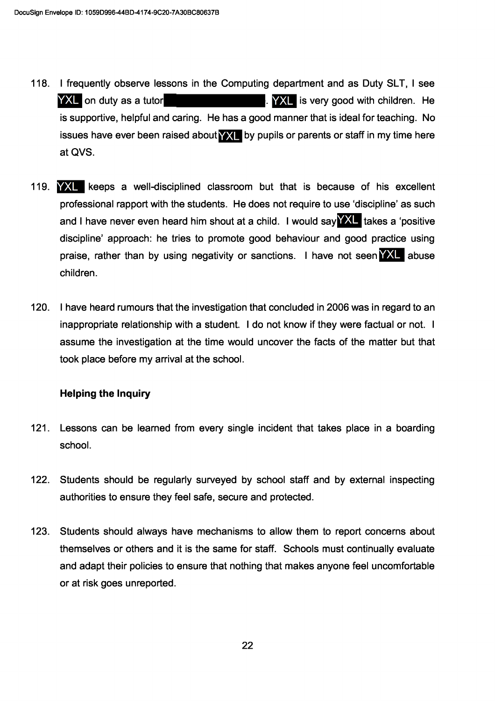- 118. I frequently observe lessons in the Computing department and as Duty SLT, I see YXL on duty as a tutor **NXL** is very good with children. He is supportive, helpful and caring. He has a good manner that is ideal for teaching. No issues have ever been raised about **YXL** by pupils or parents or staff in my time here at QVS.
- 119. We keeps a well-disciplined classroom but that is because of his excellent professional rapport with the students. He does not require to use 'discipline' as such and I have never even heard him shout at a child. I would say **YXL** takes a 'positive discipline' approach: he tries to promote good behaviour and good practice using praise, rather than by using negativity or sanctions. I have not seen **YXL** abuse children.
- 120. I have heard rumours that the investigation that concluded in 2006 was in regard to an inappropriate relationship with a student. I do not know if they were factual or not. I assume the investigation at the time would uncover the facts of the matter but that took place before my arrival at the school.

## **Helping the Inquiry**

- $121.$ Lessons can be learned from every single incident that takes place in a boarding school.
- $122.$ Students should be regularly surveyed by school staff and by external inspecting authorities to ensure they feel safe, secure and protected.
- $123.$ Students should always have mechanisms to allow them to report concerns about themselves or others and it is the same for staff. Schools must continually evaluate and adapt their policies to ensure that nothing that makes anyone feel uncomfortable or at risk goes unreported.